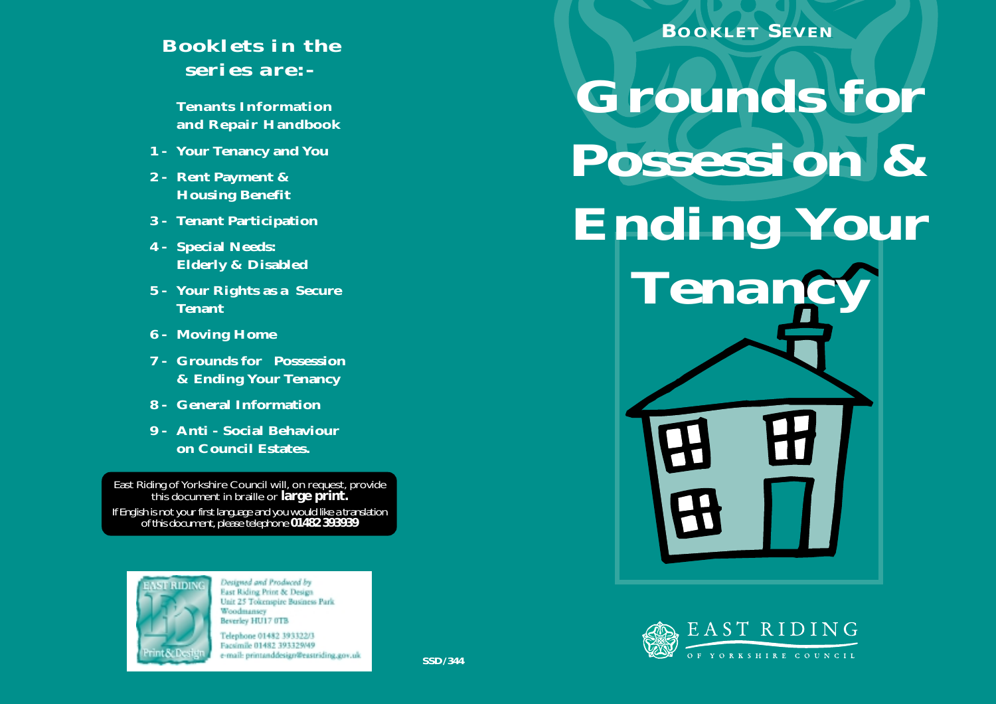## *Booklets in the series are:-*

**Tenants Information and Repair Handbook**

- **1 - Your Tenancy and You**
- **2 - Rent Payment & Housing Benefit**
- **3 - Tenant Participation**
- **4 - Special Needs: Elderly & Disabled**
- **5 - Your Rights as a Secure Tenant**
- **6 - Moving Home**
- **7 - Grounds for Possession & Ending Your Tenancy**
- **8 - General Information**
- **9 Anti Social Behaviour on Council Estates.**

East Riding of Yorkshire Council will, on request, provide this document in braille or **large print.** If English is not your first language and you would like a translation of this document, please telephone **01482 393939**



Designed and Produced by East Riding Print & Design Unit 25 Tokenspire Business Park Woodmansey Beverley HU17 0TB

Telephone 01482 393322/3 Facsimile 01482 393329/49 e-mail: printanddesign@eastriding.gov.uk

*Grounds for Possession & Ending Your Tenancy* **BOOKLET SEVEN**

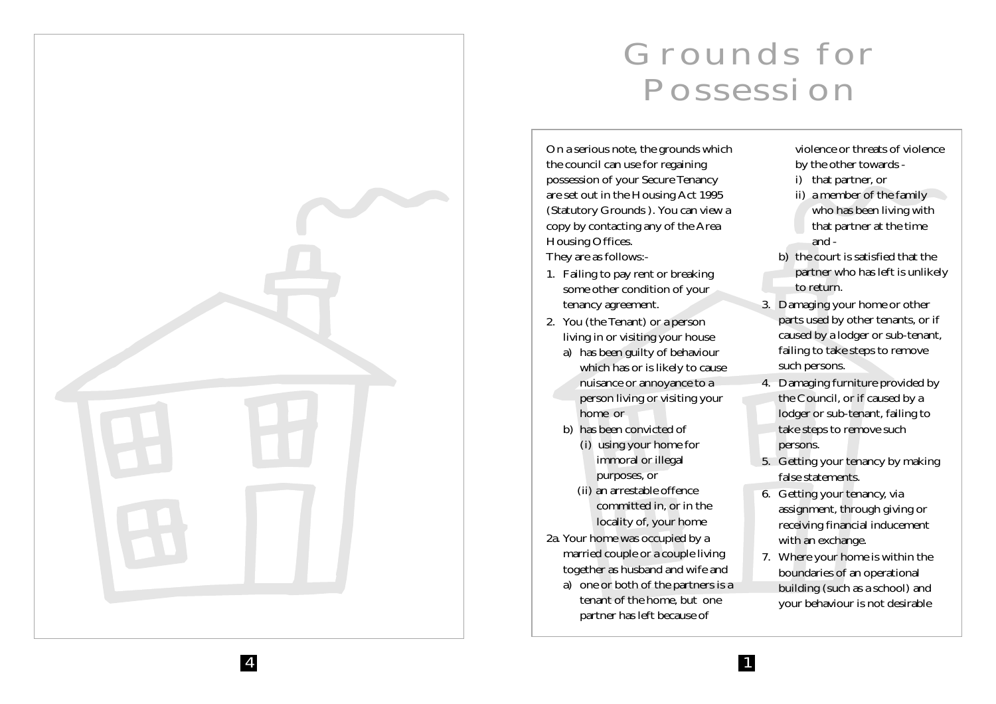

## *Grounds for Possession*

On a serious note, the grounds which the council can use for regaining possession of your Secure Tenancy are set out in the Housing Act 1995 (Statutory Grounds ). You can view a copy by contacting any of the Area Housing Offices. They are as follows:-

- 1. Failing to pay rent or breaking some other condition of your tenancy agreement.
- 2. You (the Tenant) or a person living in or visiting your house
	- a) has been guilty of behaviour which has or is likely to cause nuisance or annoyance to a person living or visiting your home or
	- b) has been convicted of
		- (i) using your home for immoral or illegal purposes, or
		- (ii) an arrestable offence committed in, or in the locality of, your home
- 2a. Your home was occupied by a married couple or a couple living together as husband and wife and a) one or both of the partners is a tenant of the home, but one partner has left because of

violence or threats of violence by the other towards -

- i) that partner, or
- ii) a member of the family who has been living with that partner at the time and -
- b) the court is satisfied that the partner who has left is unlikely to return.
- 3. Damaging your home or other parts used by other tenants, or if caused by a lodger or sub-tenant, failing to take steps to remove such persons.
- 4. Damaging furniture provided by the Council, or if caused by a lodger or sub-tenant, failing to take steps to remove such persons.
- 5. Getting your tenancy by making false statements.
- 6. Getting your tenancy, via assignment, through giving or receiving financial inducement with an exchange.
- 7. Where your home is within the boundaries of an operational building (such as a school) and your behaviour is not desirable

1